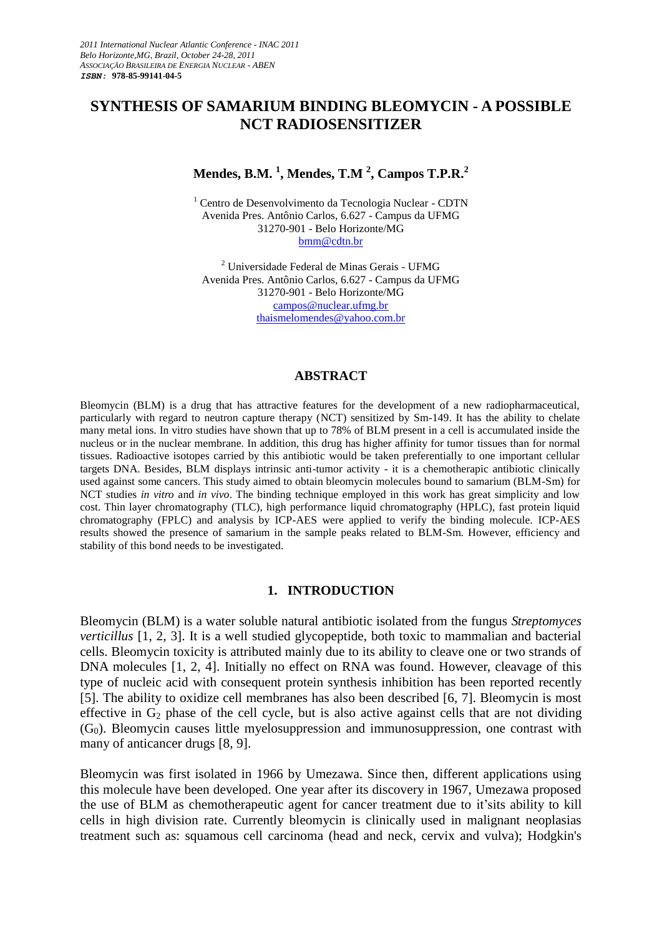# **SYNTHESIS OF SAMARIUM BINDING BLEOMYCIN - A POSSIBLE NCT RADIOSENSITIZER**

# **Mendes, B.M. <sup>1</sup> , Mendes, T.M <sup>2</sup> , Campos T.P.R.<sup>2</sup>**

<sup>1</sup> Centro de Desenvolvimento da Tecnologia Nuclear - CDTN Avenida Pres. Antônio Carlos, 6.627 - Campus da UFMG 31270-901 - Belo Horizonte/MG [bmm@cdtn.br](mailto:bmm@cdtn.br)

<sup>2</sup> Universidade Federal de Minas Gerais - UFMG Avenida Pres. Antônio Carlos, 6.627 - Campus da UFMG 31270-901 - Belo Horizonte/MG [campos@nuclear.ufmg.br](mailto:campos@nuclear.ufmg.br) [thaismelomendes@yahoo.com.br](mailto:thaismelomendes@yahoo.com.br)

#### **ABSTRACT**

Bleomycin (BLM) is a drug that has attractive features for the development of a new radiopharmaceutical, particularly with regard to neutron capture therapy (NCT) sensitized by Sm-149. It has the ability to chelate many metal ions. In vitro studies have shown that up to 78% of BLM present in a cell is accumulated inside the nucleus or in the nuclear membrane. In addition, this drug has higher affinity for tumor tissues than for normal tissues. Radioactive isotopes carried by this antibiotic would be taken preferentially to one important cellular targets DNA. Besides, BLM displays intrinsic anti-tumor activity - it is a chemotherapic antibiotic clinically used against some cancers. This study aimed to obtain bleomycin molecules bound to samarium (BLM-Sm) for NCT studies *in vitro* and *in vivo*. The binding technique employed in this work has great simplicity and low cost. Thin layer chromatography (TLC), high performance liquid chromatography (HPLC), fast protein liquid chromatography (FPLC) and analysis by ICP-AES were applied to verify the binding molecule. ICP-AES results showed the presence of samarium in the sample peaks related to BLM-Sm. However, efficiency and stability of this bond needs to be investigated.

#### **1. INTRODUCTION**

Bleomycin (BLM) is a water soluble natural antibiotic isolated from the fungus *Streptomyces verticillus* [1, 2, 3]. It is a well studied glycopeptide, both toxic to mammalian and bacterial cells. Bleomycin toxicity is attributed mainly due to its ability to cleave one or two strands of DNA molecules [1, 2, 4]. Initially no effect on RNA was found. However, cleavage of this type of nucleic acid with consequent protein synthesis inhibition has been reported recently [5]. The ability to oxidize cell membranes has also been described [6, 7]. Bleomycin is most effective in  $G_2$  phase of the cell cycle, but is also active against cells that are not dividing  $(G<sub>0</sub>)$ . Bleomycin causes little myelosuppression and immunosuppression, one contrast with many of anticancer drugs [8, 9].

Bleomycin was first isolated in 1966 by Umezawa. Since then, different applications using this molecule have been developed. One year after its discovery in 1967, Umezawa proposed the use of BLM as chemotherapeutic agent for cancer treatment due to it'sits ability to kill cells in high division rate. Currently bleomycin is clinically used in malignant neoplasias treatment such as: squamous cell carcinoma (head and neck, cervix and vulva); Hodgkin's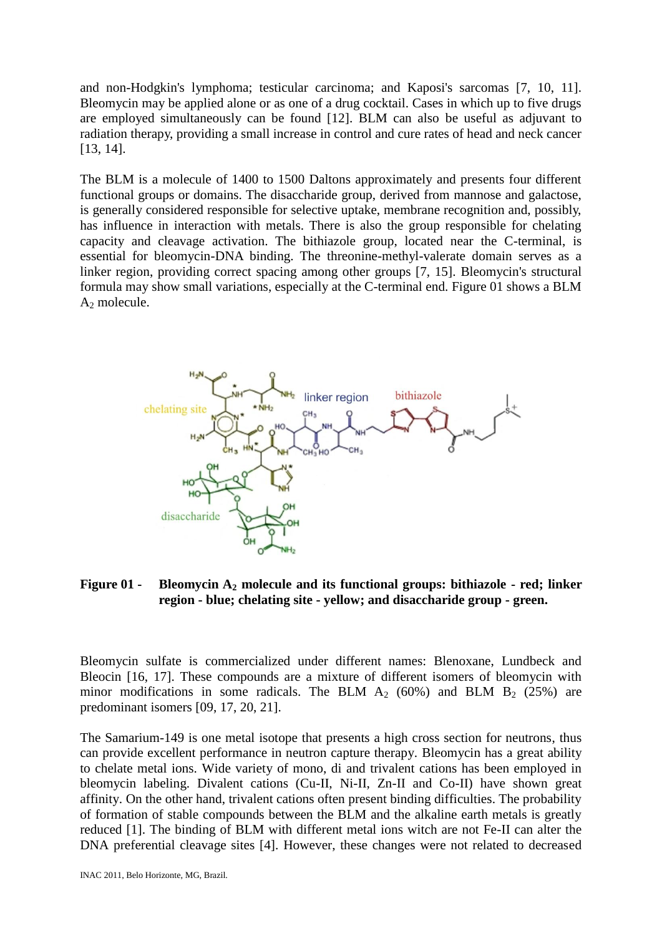and non-Hodgkin's lymphoma; testicular carcinoma; and Kaposi's sarcomas [7, 10, 11]. Bleomycin may be applied alone or as one of a drug cocktail. Cases in which up to five drugs are employed simultaneously can be found [12]. BLM can also be useful as adjuvant to radiation therapy, providing a small increase in control and cure rates of head and neck cancer [13, 14].

The BLM is a molecule of 1400 to 1500 Daltons approximately and presents four different functional groups or domains. The disaccharide group, derived from mannose and galactose, is generally considered responsible for selective uptake, membrane recognition and, possibly, has influence in interaction with metals. There is also the group responsible for chelating capacity and cleavage activation. The bithiazole group, located near the C-terminal, is essential for bleomycin-DNA binding. The threonine-methyl-valerate domain serves as a linker region, providing correct spacing among other groups [7, 15]. Bleomycin's structural formula may show small variations, especially at the C-terminal end. Figure 01 shows a BLM A<sup>2</sup> molecule.



**Figure 01 - Bleomycin A<sup>2</sup> molecule and its functional groups: bithiazole - red; linker region - blue; chelating site - yellow; and disaccharide group - green.**

Bleomycin sulfate is commercialized under different names: Blenoxane, Lundbeck and Bleocin [16, 17]. These compounds are a mixture of different isomers of bleomycin with minor modifications in some radicals. The BLM  $A_2$  (60%) and BLM  $B_2$  (25%) are predominant isomers [09, 17, 20, 21].

The Samarium-149 is one metal isotope that presents a high cross section for neutrons, thus can provide excellent performance in neutron capture therapy. Bleomycin has a great ability to chelate metal ions. Wide variety of mono, di and trivalent cations has been employed in bleomycin labeling. Divalent cations (Cu-II, Ni-II, Zn-II and Co-II) have shown great affinity. On the other hand, trivalent cations often present binding difficulties. The probability of formation of stable compounds between the BLM and the alkaline earth metals is greatly reduced [1]. The binding of BLM with different metal ions witch are not Fe-II can alter the DNA preferential cleavage sites [4]. However, these changes were not related to decreased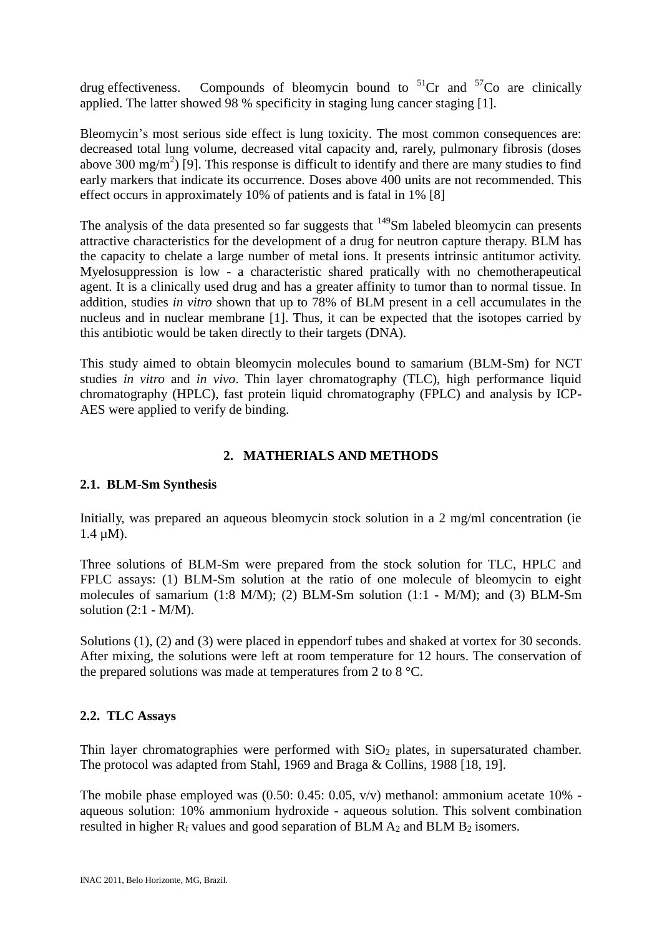drug effectiveness. Compounds of bleomycin bound to  ${}^{51}Cr$  and  ${}^{57}Co$  are clinically applied. The latter showed 98 % specificity in staging lung cancer staging [1].

Bleomycin's most serious side effect is lung toxicity. The most common consequences are: decreased total lung volume, decreased vital capacity and, rarely, pulmonary fibrosis (doses above 300 mg/m<sup>2</sup>) [9]. This response is difficult to identify and there are many studies to find early markers that indicate its occurrence. Doses above 400 units are not recommended. This effect occurs in approximately 10% of patients and is fatal in 1% [8]

The analysis of the data presented so far suggests that  $149$ Sm labeled bleomycin can presents attractive characteristics for the development of a drug for neutron capture therapy. BLM has the capacity to chelate a large number of metal ions. It presents intrinsic antitumor activity. Myelosuppression is low - a characteristic shared pratically with no chemotherapeutical agent. It is a clinically used drug and has a greater affinity to tumor than to normal tissue. In addition, studies *in vitro* shown that up to 78% of BLM present in a cell accumulates in the nucleus and in nuclear membrane [1]. Thus, it can be expected that the isotopes carried by this antibiotic would be taken directly to their targets (DNA).

This study aimed to obtain bleomycin molecules bound to samarium (BLM-Sm) for NCT studies *in vitro* and *in vivo*. Thin layer chromatography (TLC), high performance liquid chromatography (HPLC), fast protein liquid chromatography (FPLC) and analysis by ICP-AES were applied to verify de binding.

# **2. MATHERIALS AND METHODS**

## **2.1. BLM-Sm Synthesis**

Initially, was prepared an aqueous bleomycin stock solution in a 2 mg/ml concentration (ie 1.4 µM).

Three solutions of BLM-Sm were prepared from the stock solution for TLC, HPLC and FPLC assays: (1) BLM-Sm solution at the ratio of one molecule of bleomycin to eight molecules of samarium (1:8 M/M); (2) BLM-Sm solution (1:1 - M/M); and (3) BLM-Sm solution  $(2:1 - M/M)$ .

Solutions (1), (2) and (3) were placed in eppendorf tubes and shaked at vortex for 30 seconds. After mixing, the solutions were left at room temperature for 12 hours. The conservation of the prepared solutions was made at temperatures from 2 to 8 °C.

## **2.2. TLC Assays**

Thin layer chromatographies were performed with  $SiO<sub>2</sub>$  plates, in supersaturated chamber. The protocol was adapted from Stahl, 1969 and Braga & Collins, 1988 [18, 19].

The mobile phase employed was (0.50: 0.45: 0.05, v/v) methanol: ammonium acetate 10% aqueous solution: 10% ammonium hydroxide - aqueous solution. This solvent combination resulted in higher  $R_f$  values and good separation of BLM  $A_2$  and BLM  $B_2$  isomers.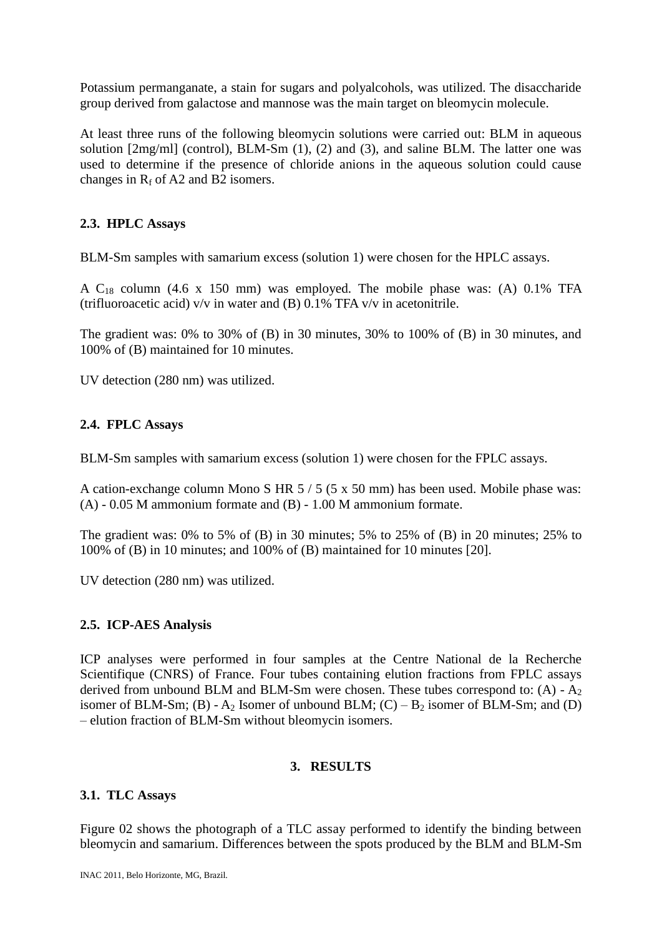Potassium permanganate, a stain for sugars and polyalcohols, was utilized. The disaccharide group derived from galactose and mannose was the main target on bleomycin molecule.

At least three runs of the following bleomycin solutions were carried out: BLM in aqueous solution [2mg/ml] (control), BLM-Sm (1), (2) and (3), and saline BLM. The latter one was used to determine if the presence of chloride anions in the aqueous solution could cause changes in  $R_f$  of A2 and B2 isomers.

## **2.3. HPLC Assays**

BLM-Sm samples with samarium excess (solution 1) were chosen for the HPLC assays.

A  $C_{18}$  column (4.6 x 150 mm) was employed. The mobile phase was: (A) 0.1% TFA (trifluoroacetic acid) v/v in water and (B) 0.1% TFA v/v in acetonitrile.

The gradient was: 0% to 30% of (B) in 30 minutes, 30% to 100% of (B) in 30 minutes, and 100% of (B) maintained for 10 minutes.

UV detection (280 nm) was utilized.

### **2.4. FPLC Assays**

BLM-Sm samples with samarium excess (solution 1) were chosen for the FPLC assays.

A cation-exchange column Mono S HR 5 / 5 (5 x 50 mm) has been used. Mobile phase was: (A) - 0.05 M ammonium formate and (B) - 1.00 M ammonium formate.

The gradient was: 0% to 5% of (B) in 30 minutes; 5% to 25% of (B) in 20 minutes; 25% to 100% of (B) in 10 minutes; and 100% of (B) maintained for 10 minutes [20].

UV detection (280 nm) was utilized.

### **2.5. ICP-AES Analysis**

ICP analyses were performed in four samples at the Centre National de la Recherche Scientifique (CNRS) of France. Four tubes containing elution fractions from FPLC assays derived from unbound BLM and BLM-Sm were chosen. These tubes correspond to:  $(A) - A_2$ isomer of BLM-Sm; (B) -  $A_2$  Isomer of unbound BLM; (C) –  $B_2$  isomer of BLM-Sm; and (D) – elution fraction of BLM-Sm without bleomycin isomers.

## **3. RESULTS**

### **3.1. TLC Assays**

Figure 02 shows the photograph of a TLC assay performed to identify the binding between bleomycin and samarium. Differences between the spots produced by the BLM and BLM-Sm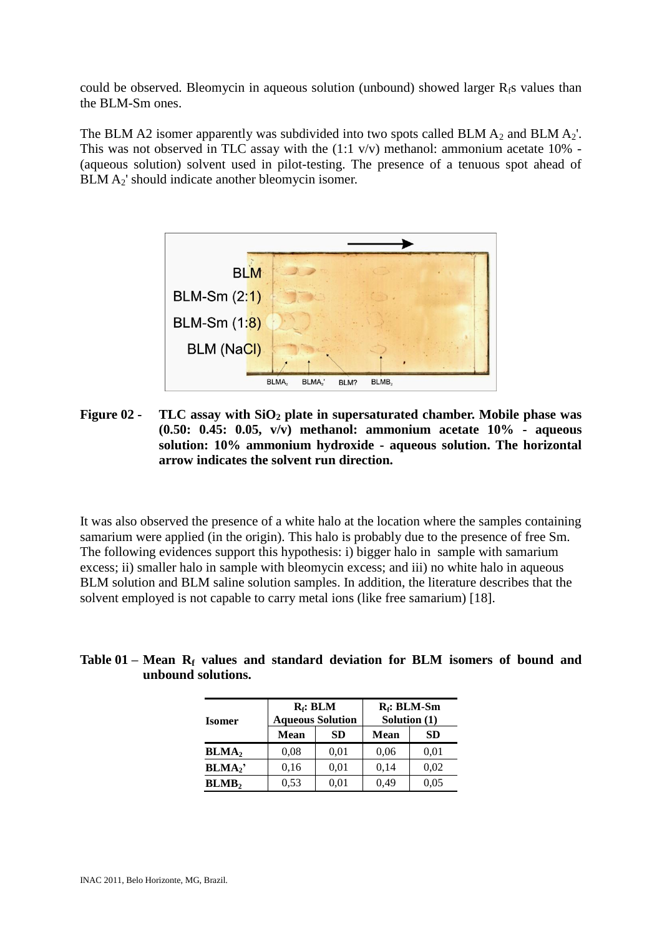could be observed. Bleomycin in aqueous solution (unbound) showed larger  $R_f$ s values than the BLM-Sm ones.

The BLM A2 isomer apparently was subdivided into two spots called BLM  $A_2$  and BLM  $A_2'$ . This was not observed in TLC assay with the  $(1:1 \text{ v/v})$  methanol: ammonium acetate  $10\%$  -(aqueous solution) solvent used in pilot-testing. The presence of a tenuous spot ahead of BLM  $A_2$ ' should indicate another bleomycin isomer.



**Figure 02 - TLC assay with SiO<sup>2</sup> plate in supersaturated chamber. Mobile phase was (0.50: 0.45: 0.05, v/v) methanol: ammonium acetate 10% - aqueous solution: 10% ammonium hydroxide - aqueous solution. The horizontal arrow indicates the solvent run direction.**

It was also observed the presence of a white halo at the location where the samples containing samarium were applied (in the origin). This halo is probably due to the presence of free Sm. The following evidences support this hypothesis: i) bigger halo in sample with samarium excess; ii) smaller halo in sample with bleomycin excess; and iii) no white halo in aqueous BLM solution and BLM saline solution samples. In addition, the literature describes that the solvent employed is not capable to carry metal ions (like free samarium) [18].

| Table $01$ – Mean $R_f$ values and standard deviation for BLM isomers of bound and |                    |  |  |  |  |  |
|------------------------------------------------------------------------------------|--------------------|--|--|--|--|--|
|                                                                                    | unbound solutions. |  |  |  |  |  |

| <b>Isomer</b>            |      | $R_f$ : BLM<br><b>Aqueous Solution</b> | $R_f$ : BLM-Sm<br>Solution $(1)$ |      |  |  |
|--------------------------|------|----------------------------------------|----------------------------------|------|--|--|
|                          | Mean | SD                                     | Mean                             | SD   |  |  |
| BLMA <sub>2</sub>        | 0.08 | 0,01                                   | 0,06                             | 0,01 |  |  |
| BLMA <sub>2</sub>        | 0,16 | 0.01                                   | 0,14                             | 0.02 |  |  |
| <b>BLMB</b> <sub>2</sub> | 0,53 | 0.01                                   | 0.49                             | 0.05 |  |  |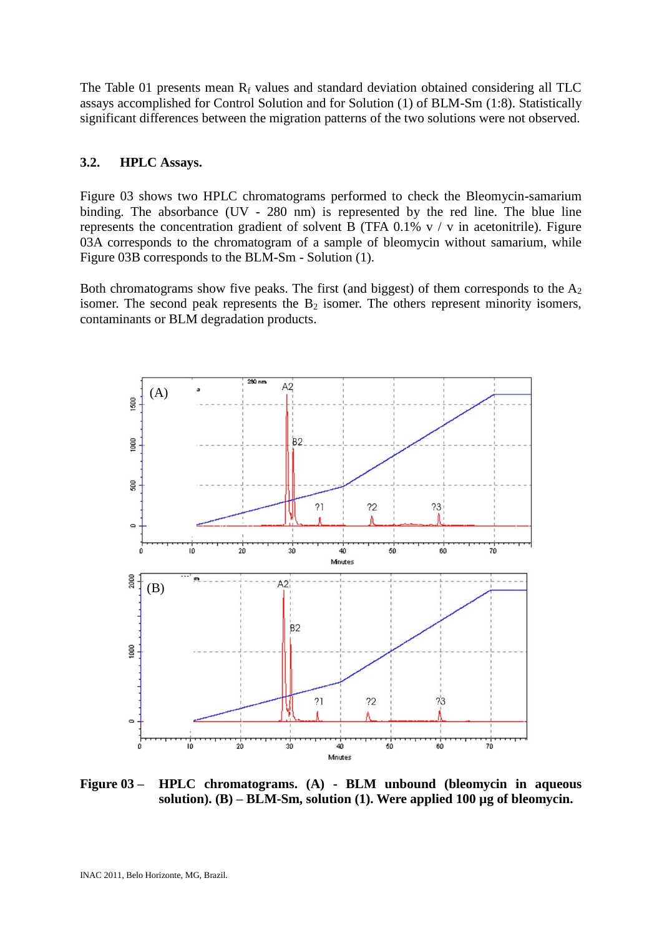The Table 01 presents mean  $R_f$  values and standard deviation obtained considering all TLC assays accomplished for Control Solution and for Solution (1) of BLM-Sm (1:8). Statistically significant differences between the migration patterns of the two solutions were not observed.

### **3.2. HPLC Assays.**

Figure 03 shows two HPLC chromatograms performed to check the Bleomycin-samarium binding. The absorbance (UV - 280 nm) is represented by the red line. The blue line represents the concentration gradient of solvent B (TFA  $0.1\%$  v / v in acetonitrile). Figure 03A corresponds to the chromatogram of a sample of bleomycin without samarium, while Figure 03B corresponds to the BLM-Sm - Solution (1).

Both chromatograms show five peaks. The first (and biggest) of them corresponds to the  $A_2$ isomer. The second peak represents the  $B_2$  isomer. The others represent minority isomers, contaminants or BLM degradation products.



**Figure 03 – HPLC chromatograms. (A) - BLM unbound (bleomycin in aqueous solution). (B) – BLM-Sm, solution (1). Were applied 100 µg of bleomycin.**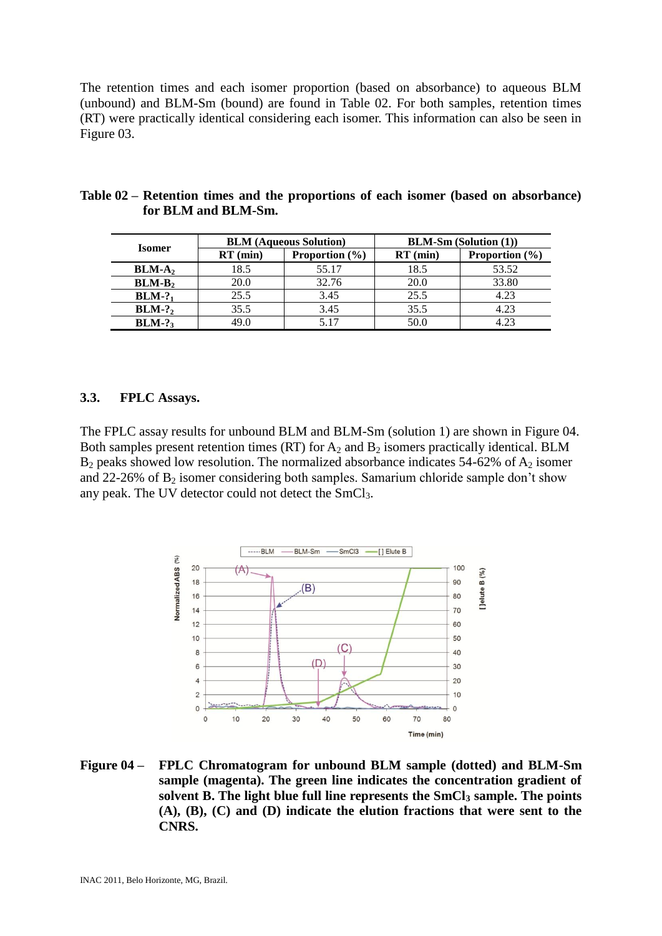The retention times and each isomer proportion (based on absorbance) to aqueous BLM (unbound) and BLM-Sm (bound) are found in Table 02. For both samples, retention times (RT) were practically identical considering each isomer. This information can also be seen in Figure 03.

|  |               | <b>BLM</b> (Aqueous Solution) | <b>BLM-Sm (Solution (1))</b> |            |                    |  |
|--|---------------|-------------------------------|------------------------------|------------|--------------------|--|
|  | <b>Isomer</b> | $RT$ (min)                    | <b>Proportion</b> $(\% )$    | $RT$ (min) | Proportion $(\% )$ |  |
|  | $BLM-A2$      | 18.5                          | 55.17                        | 18.5       | 53.52              |  |
|  | $BLM-B2$      | 20.0                          | 32.76                        | 20.0       | 33.80              |  |
|  | $BLM-?$       | 25.5                          | 3.45                         | 25.5       | 4.23               |  |
|  | $BLM-?$       | 35.5                          | 3.45                         | 35.5       | 4.23               |  |
|  | $BLM-?$       | 49.0                          | 5 1 7                        | 50.0       | 4.23               |  |

### **Table 02 – Retention times and the proportions of each isomer (based on absorbance) for BLM and BLM-Sm.**

### **3.3. FPLC Assays.**

The FPLC assay results for unbound BLM and BLM-Sm (solution 1) are shown in Figure 04. Both samples present retention times (RT) for  $A_2$  and  $B_2$  isomers practically identical. BLM  $B_2$  peaks showed low resolution. The normalized absorbance indicates 54-62% of  $A_2$  isomer and 22-26% of  $B_2$  isomer considering both samples. Samarium chloride sample don't show any peak. The UV detector could not detect the  $SmCl<sub>3</sub>$ .



**Figure 04 – FPLC Chromatogram for unbound BLM sample (dotted) and BLM-Sm sample (magenta). The green line indicates the concentration gradient of solvent B. The light blue full line represents the SmCl<sup>3</sup> sample. The points (A), (B), (C) and (D) indicate the elution fractions that were sent to the CNRS.**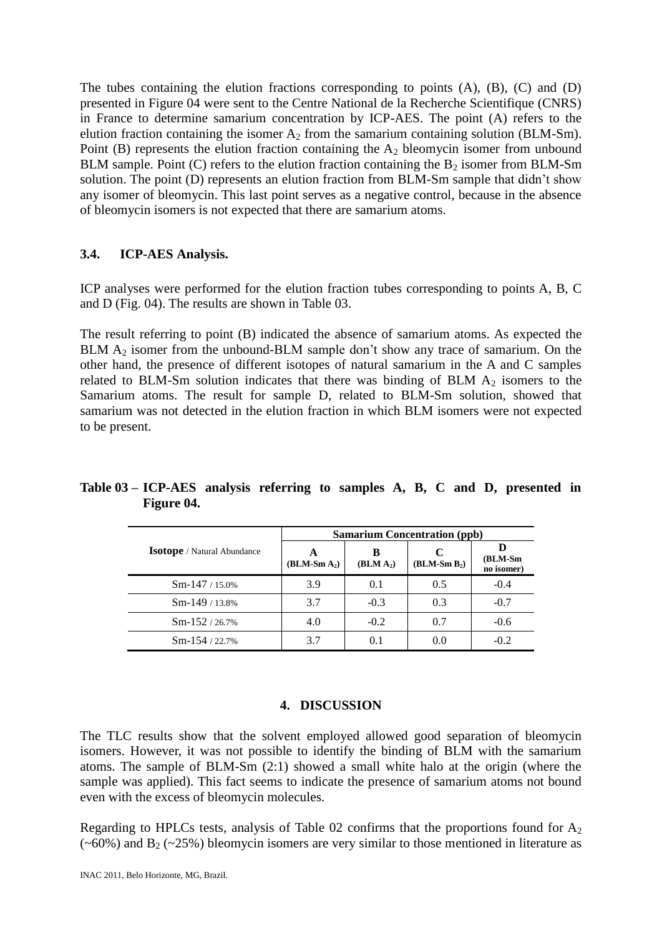The tubes containing the elution fractions corresponding to points (A), (B), (C) and (D) presented in Figure 04 were sent to the Centre National de la Recherche Scientifique (CNRS) in France to determine samarium concentration by ICP-AES. The point (A) refers to the elution fraction containing the isomer  $A_2$  from the samarium containing solution (BLM-Sm). Point (B) represents the elution fraction containing the  $A_2$  bleomycin isomer from unbound BLM sample. Point (C) refers to the elution fraction containing the  $B_2$  isomer from BLM-Sm solution. The point (D) represents an elution fraction from BLM-Sm sample that didn't show any isomer of bleomycin. This last point serves as a negative control, because in the absence of bleomycin isomers is not expected that there are samarium atoms.

### **3.4. ICP-AES Analysis.**

ICP analyses were performed for the elution fraction tubes corresponding to points A, B, C and D (Fig. 04). The results are shown in Table 03.

The result referring to point (B) indicated the absence of samarium atoms. As expected the BLM  $A_2$  isomer from the unbound-BLM sample don't show any trace of samarium. On the other hand, the presence of different isotopes of natural samarium in the A and C samples related to BLM-Sm solution indicates that there was binding of BLM  $A<sub>2</sub>$  isomers to the Samarium atoms. The result for sample D, related to BLM-Sm solution, showed that samarium was not detected in the elution fraction in which BLM isomers were not expected to be present.

|                                    | <b>Samarium Concentration (ppb)</b> |                            |                     |                       |  |  |  |
|------------------------------------|-------------------------------------|----------------------------|---------------------|-----------------------|--|--|--|
| <b>Isotope</b> / Natural Abundance | A<br>$(BLM-Sm A_2)$                 | B<br>(BLM A <sub>2</sub> ) | C<br>$(BLM-Sm B_2)$ | (BLM-Sm<br>no isomer) |  |  |  |
| $Sm-147/15.0\%$                    | 3.9                                 | 0.1                        | 0.5                 | $-0.4$                |  |  |  |
| $Sm-149/13.8%$                     | 3.7                                 | $-0.3$                     | 0.3                 | $-0.7$                |  |  |  |
| $Sm-152/26.7%$                     | 4.0                                 | $-0.2$                     | 0.7                 | $-0.6$                |  |  |  |
| $Sm-154/22.7%$                     | 3.7                                 | 0.1                        | 0.0                 | $-0.2$                |  |  |  |

**Table 03 – ICP-AES analysis referring to samples A, B, C and D, presented in Figure 04.**

#### **4. DISCUSSION**

The TLC results show that the solvent employed allowed good separation of bleomycin isomers. However, it was not possible to identify the binding of BLM with the samarium atoms. The sample of BLM-Sm (2:1) showed a small white halo at the origin (where the sample was applied). This fact seems to indicate the presence of samarium atoms not bound even with the excess of bleomycin molecules.

Regarding to HPLCs tests, analysis of Table 02 confirms that the proportions found for  $A_2$  $(\sim 60\%)$  and B<sub>2</sub> ( $\sim 25\%$ ) bleomycin isomers are very similar to those mentioned in literature as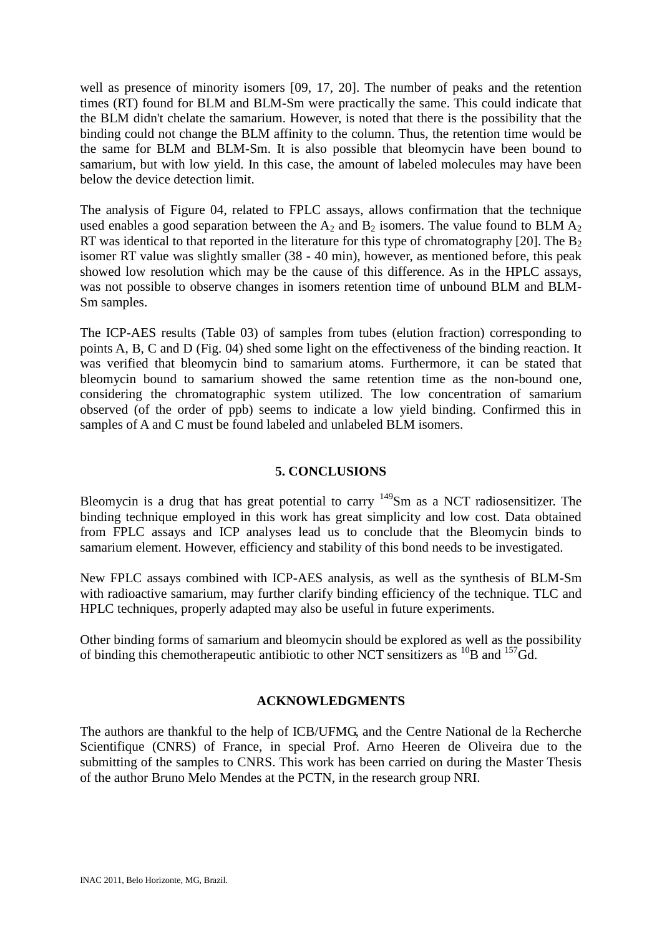well as presence of minority isomers [09, 17, 20]. The number of peaks and the retention times (RT) found for BLM and BLM-Sm were practically the same. This could indicate that the BLM didn't chelate the samarium. However, is noted that there is the possibility that the binding could not change the BLM affinity to the column. Thus, the retention time would be the same for BLM and BLM-Sm. It is also possible that bleomycin have been bound to samarium, but with low yield. In this case, the amount of labeled molecules may have been below the device detection limit.

The analysis of Figure 04, related to FPLC assays, allows confirmation that the technique used enables a good separation between the  $A_2$  and  $B_2$  isomers. The value found to BLM  $A_2$ RT was identical to that reported in the literature for this type of chromatography [20]. The  $B_2$ isomer RT value was slightly smaller (38 - 40 min), however, as mentioned before, this peak showed low resolution which may be the cause of this difference. As in the HPLC assays, was not possible to observe changes in isomers retention time of unbound BLM and BLM-Sm samples.

The ICP-AES results (Table 03) of samples from tubes (elution fraction) corresponding to points A, B, C and D (Fig. 04) shed some light on the effectiveness of the binding reaction. It was verified that bleomycin bind to samarium atoms. Furthermore, it can be stated that bleomycin bound to samarium showed the same retention time as the non-bound one, considering the chromatographic system utilized. The low concentration of samarium observed (of the order of ppb) seems to indicate a low yield binding. Confirmed this in samples of A and C must be found labeled and unlabeled BLM isomers.

## **5. CONCLUSIONS**

Bleomycin is a drug that has great potential to carry  $149$ Sm as a NCT radiosensitizer. The binding technique employed in this work has great simplicity and low cost. Data obtained from FPLC assays and ICP analyses lead us to conclude that the Bleomycin binds to samarium element. However, efficiency and stability of this bond needs to be investigated.

New FPLC assays combined with ICP-AES analysis, as well as the synthesis of BLM-Sm with radioactive samarium, may further clarify binding efficiency of the technique. TLC and HPLC techniques, properly adapted may also be useful in future experiments.

Other binding forms of samarium and bleomycin should be explored as well as the possibility of binding this chemotherapeutic antibiotic to other NCT sensitizers as  ${}^{10}B$  and  ${}^{157}Gd$ .

### **ACKNOWLEDGMENTS**

The authors are thankful to the help of ICB/UFMG, and the Centre National de la Recherche Scientifique (CNRS) of France, in special Prof. Arno Heeren de Oliveira due to the submitting of the samples to CNRS. This work has been carried on during the Master Thesis of the author Bruno Melo Mendes at the PCTN, in the research group NRI.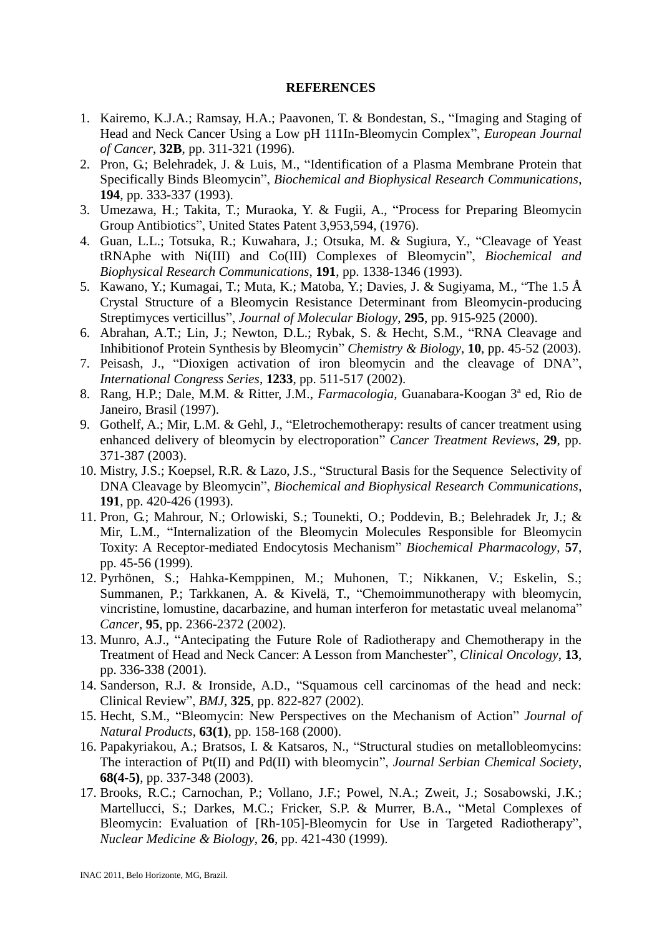#### **REFERENCES**

- 1. Kairemo, K.J.A.; Ramsay, H.A.; Paavonen, T. & Bondestan, S., "Imaging and Staging of Head and Neck Cancer Using a Low pH 111In-Bleomycin Complex", *European Journal of Cancer*, **32B**, pp. 311-321 (1996).
- 2. Pron, G.; Belehradek, J. & Luis, M., "Identification of a Plasma Membrane Protein that Specifically Binds Bleomycin", *Biochemical and Biophysical Research Communications*, **194**, pp. 333-337 (1993).
- 3. Umezawa, H.; Takita, T.; Muraoka, Y. & Fugii, A., "Process for Preparing Bleomycin Group Antibiotics", United States Patent 3,953,594, (1976).
- 4. Guan, L.L.; Totsuka, R.; Kuwahara, J.; Otsuka, M. & Sugiura, Y., "Cleavage of Yeast tRNAphe with Ni(III) and Co(III) Complexes of Bleomycin", *Biochemical and Biophysical Research Communications*, **191**, pp. 1338-1346 (1993).
- 5. Kawano, Y.; Kumagai, T.; Muta, K.; Matoba, Y.; Davies, J. & Sugiyama, M., "The 1.5 Å Crystal Structure of a Bleomycin Resistance Determinant from Bleomycin-producing Streptimyces verticillus", *Journal of Molecular Biology*, **295**, pp. 915-925 (2000).
- 6. Abrahan, A.T.; Lin, J.; Newton, D.L.; Rybak, S. & Hecht, S.M., "RNA Cleavage and Inhibitionof Protein Synthesis by Bleomycin" *Chemistry & Biology*, **10**, pp. 45-52 (2003).
- 7. Peisash, J., "Dioxigen activation of iron bleomycin and the cleavage of DNA", *International Congress Series*, **1233**, pp. 511-517 (2002).
- 8. Rang, H.P.; Dale, M.M. & Ritter, J.M., *Farmacologia,* Guanabara-Koogan 3ª ed, Rio de Janeiro, Brasil (1997).
- 9. Gothelf, A.; Mir, L.M. & Gehl, J., "Eletrochemotherapy: results of cancer treatment using enhanced delivery of bleomycin by electroporation" *Cancer Treatment Reviews*, **29**, pp. 371-387 (2003).
- 10. Mistry, J.S.; Koepsel, R.R. & Lazo, J.S., "Structural Basis for the Sequence Selectivity of DNA Cleavage by Bleomycin", *Biochemical and Biophysical Research Communications*, **191**, pp. 420-426 (1993).
- 11. Pron, G.; Mahrour, N.; Orlowiski, S.; Tounekti, O.; Poddevin, B.; Belehradek Jr, J.; & Mir, L.M., "Internalization of the Bleomycin Molecules Responsible for Bleomycin Toxity: A Receptor-mediated Endocytosis Mechanism" *Biochemical Pharmacology*, **57**, pp. 45-56 (1999).
- 12. Pyrhönen, S.; Hahka-Kemppinen, M.; Muhonen, T.; Nikkanen, V.; Eskelin, S.; Summanen, P.; Tarkkanen, A. & Kivelä, T., "Chemoimmunotherapy with bleomycin, vincristine, lomustine, dacarbazine, and human interferon for metastatic uveal melanoma" *Cancer*, **95**, pp. 2366-2372 (2002).
- 13. Munro, A.J., "Antecipating the Future Role of Radiotherapy and Chemotherapy in the Treatment of Head and Neck Cancer: A Lesson from Manchester", *Clinical Oncology*, **13**, pp. 336-338 (2001).
- 14. Sanderson, R.J. & Ironside, A.D., "Squamous cell carcinomas of the head and neck: Clinical Review", *BMJ*, **325**, pp. 822-827 (2002).
- 15. Hecht, S.M., "Bleomycin: New Perspectives on the Mechanism of Action" *Journal of Natural Products*, **63(1)**, pp. 158-168 (2000).
- 16. Papakyriakou, A.; Bratsos, I. & Katsaros, N., "Structural studies on metallobleomycins: The interaction of Pt(II) and Pd(II) with bleomycin", *Journal Serbian Chemical Society*, **68(4-5)**, pp. 337-348 (2003).
- 17. Brooks, R.C.; Carnochan, P.; Vollano, J.F.; Powel, N.A.; Zweit, J.; Sosabowski, J.K.; Martellucci, S.; Darkes, M.C.; Fricker, S.P. & Murrer, B.A., "Metal Complexes of Bleomycin: Evaluation of [Rh-105]-Bleomycin for Use in Targeted Radiotherapy", *Nuclear Medicine & Biology*, **26**, pp. 421-430 (1999).